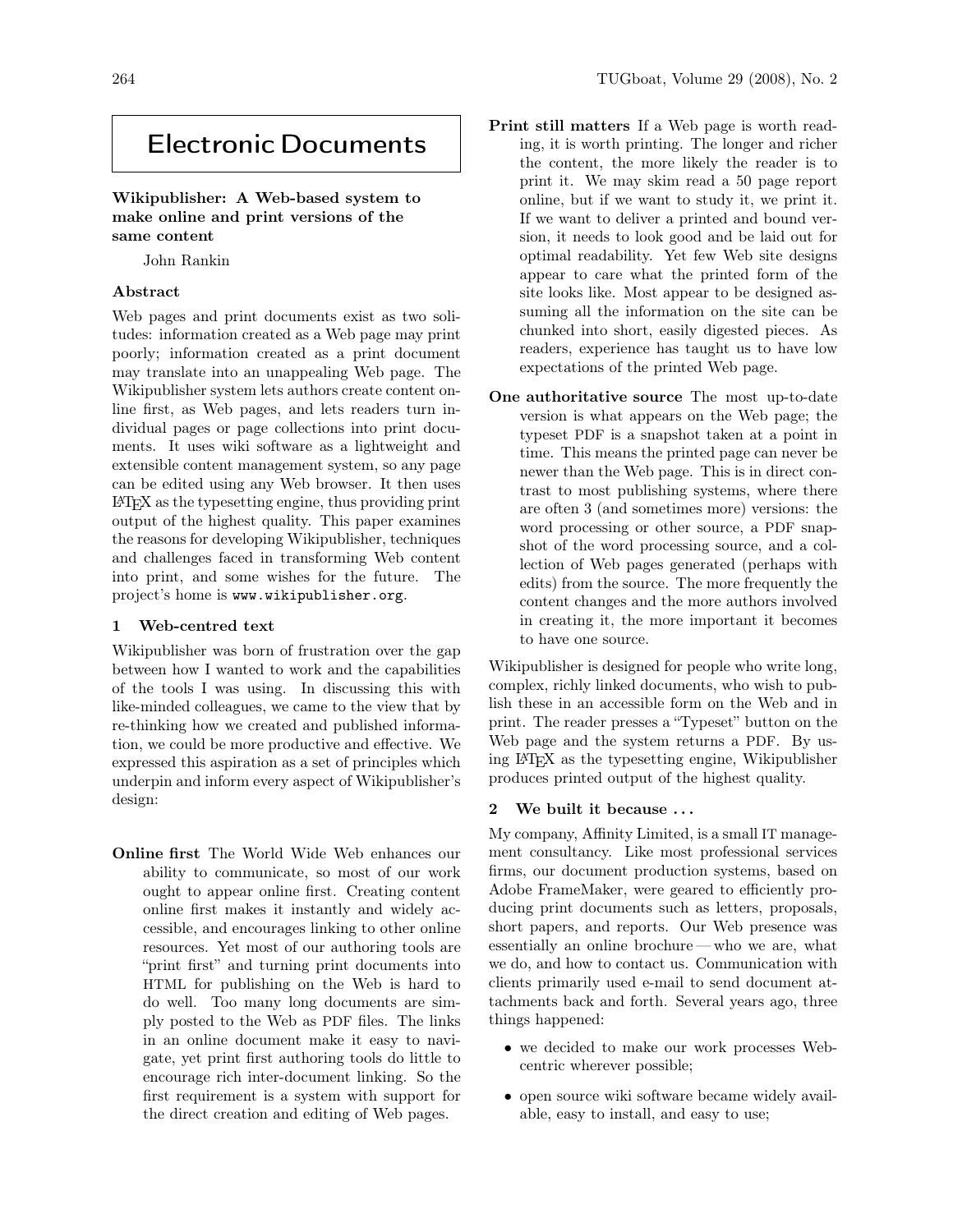# Electronic Documents

## Wikipublisher: A Web-based system to make online and print versions of the same content

John Rankin

## Abstract

Web pages and print documents exist as two solitudes: information created as a Web page may print poorly; information created as a print document may translate into an unappealing Web page. The Wikipublisher system lets authors create content online first, as Web pages, and lets readers turn individual pages or page collections into print documents. It uses wiki software as a lightweight and extensible content management system, so any page can be edited using any Web browser. It then uses LATEX as the typesetting engine, thus providing print output of the highest quality. This paper examines the reasons for developing Wikipublisher, techniques and challenges faced in transforming Web content into print, and some wishes for the future. The project's home is www.wikipublisher.org.

#### 1 Web-centred text

Wikipublisher was born of frustration over the gap between how I wanted to work and the capabilities of the tools I was using. In discussing this with like-minded colleagues, we came to the view that by re-thinking how we created and published information, we could be more productive and effective. We expressed this aspiration as a set of principles which underpin and inform every aspect of Wikipublisher's design:

Online first The World Wide Web enhances our ability to communicate, so most of our work ought to appear online first. Creating content online first makes it instantly and widely accessible, and encourages linking to other online resources. Yet most of our authoring tools are "print first" and turning print documents into HTML for publishing on the Web is hard to do well. Too many long documents are simply posted to the Web as PDF files. The links in an online document make it easy to navigate, yet print first authoring tools do little to encourage rich inter-document linking. So the first requirement is a system with support for the direct creation and editing of Web pages.

- Print still matters If a Web page is worth reading, it is worth printing. The longer and richer the content, the more likely the reader is to print it. We may skim read a 50 page report online, but if we want to study it, we print it. If we want to deliver a printed and bound version, it needs to look good and be laid out for optimal readability. Yet few Web site designs appear to care what the printed form of the site looks like. Most appear to be designed assuming all the information on the site can be chunked into short, easily digested pieces. As readers, experience has taught us to have low expectations of the printed Web page.
- One authoritative source The most up-to-date version is what appears on the Web page; the typeset PDF is a snapshot taken at a point in time. This means the printed page can never be newer than the Web page. This is in direct contrast to most publishing systems, where there are often 3 (and sometimes more) versions: the word processing or other source, a PDF snapshot of the word processing source, and a collection of Web pages generated (perhaps with edits) from the source. The more frequently the content changes and the more authors involved in creating it, the more important it becomes to have one source.

Wikipublisher is designed for people who write long, complex, richly linked documents, who wish to publish these in an accessible form on the Web and in print. The reader presses a "Typeset" button on the Web page and the system returns a PDF. By using LATEX as the typesetting engine, Wikipublisher produces printed output of the highest quality.

#### 2 We built it because . . .

My company, Affinity Limited, is a small IT management consultancy. Like most professional services firms, our document production systems, based on Adobe FrameMaker, were geared to efficiently producing print documents such as letters, proposals, short papers, and reports. Our Web presence was essentially an online brochure — who we are, what we do, and how to contact us. Communication with clients primarily used e-mail to send document attachments back and forth. Several years ago, three things happened:

- we decided to make our work processes Webcentric wherever possible;
- open source wiki software became widely available, easy to install, and easy to use;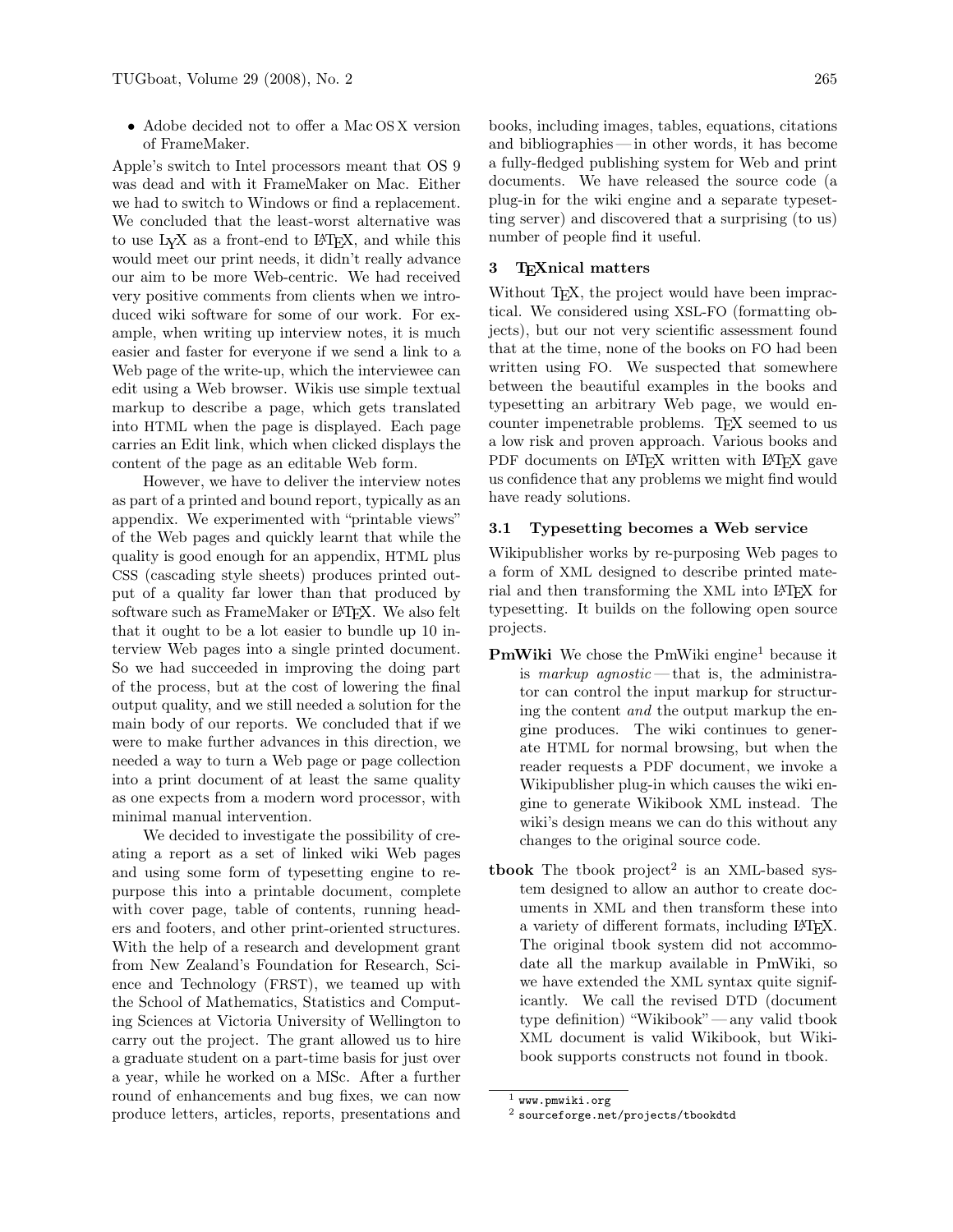• Adobe decided not to offer a Mac OS X version of FrameMaker.

Apple's switch to Intel processors meant that OS 9 was dead and with it FrameMaker on Mac. Either we had to switch to Windows or find a replacement. We concluded that the least-worst alternative was to use LYX as a front-end to LATEX, and while this would meet our print needs, it didn't really advance our aim to be more Web-centric. We had received very positive comments from clients when we introduced wiki software for some of our work. For example, when writing up interview notes, it is much easier and faster for everyone if we send a link to a Web page of the write-up, which the interviewee can edit using a Web browser. Wikis use simple textual markup to describe a page, which gets translated into HTML when the page is displayed. Each page carries an Edit link, which when clicked displays the content of the page as an editable Web form.

However, we have to deliver the interview notes as part of a printed and bound report, typically as an appendix. We experimented with "printable views" of the Web pages and quickly learnt that while the quality is good enough for an appendix, HTML plus CSS (cascading style sheets) produces printed output of a quality far lower than that produced by software such as FrameMaker or LAT<sub>EX</sub>. We also felt that it ought to be a lot easier to bundle up 10 interview Web pages into a single printed document. So we had succeeded in improving the doing part of the process, but at the cost of lowering the final output quality, and we still needed a solution for the main body of our reports. We concluded that if we were to make further advances in this direction, we needed a way to turn a Web page or page collection into a print document of at least the same quality as one expects from a modern word processor, with minimal manual intervention.

We decided to investigate the possibility of creating a report as a set of linked wiki Web pages and using some form of typesetting engine to repurpose this into a printable document, complete with cover page, table of contents, running headers and footers, and other print-oriented structures. With the help of a research and development grant from New Zealand's Foundation for Research, Science and Technology (FRST), we teamed up with the School of Mathematics, Statistics and Computing Sciences at Victoria University of Wellington to carry out the project. The grant allowed us to hire a graduate student on a part-time basis for just over a year, while he worked on a MSc. After a further round of enhancements and bug fixes, we can now produce letters, articles, reports, presentations and books, including images, tables, equations, citations and bibliographies— in other words, it has become a fully-fledged publishing system for Web and print documents. We have released the source code (a plug-in for the wiki engine and a separate typesetting server) and discovered that a surprising (to us) number of people find it useful.

#### 3 TEXnical matters

Without T<sub>E</sub>X, the project would have been impractical. We considered using XSL-FO (formatting objects), but our not very scientific assessment found that at the time, none of the books on FO had been written using FO. We suspected that somewhere between the beautiful examples in the books and typesetting an arbitrary Web page, we would encounter impenetrable problems. T<sub>F</sub>X seemed to us a low risk and proven approach. Various books and PDF documents on LAT<sub>EX</sub> written with LAT<sub>EX</sub> gave us confidence that any problems we might find would have ready solutions.

## 3.1 Typesetting becomes a Web service

Wikipublisher works by re-purposing Web pages to a form of XML designed to describe printed material and then transforming the XML into LAT<sub>EX</sub> for typesetting. It builds on the following open source projects.

- PmWiki We chose the PmWiki engine<sup>1</sup> because it is markup agnostic—that is, the administrator can control the input markup for structuring the content and the output markup the engine produces. The wiki continues to generate HTML for normal browsing, but when the reader requests a PDF document, we invoke a Wikipublisher plug-in which causes the wiki engine to generate Wikibook XML instead. The wiki's design means we can do this without any changes to the original source code.
- tbook The tbook project<sup>2</sup> is an XML-based system designed to allow an author to create documents in XML and then transform these into a variety of different formats, including LATEX. The original tbook system did not accommodate all the markup available in PmWiki, so we have extended the XML syntax quite significantly. We call the revised DTD (document type definition) "Wikibook" — any valid tbook XML document is valid Wikibook, but Wikibook supports constructs not found in tbook.

 $1$  www.pmwiki.org

<sup>2</sup> sourceforge.net/projects/tbookdtd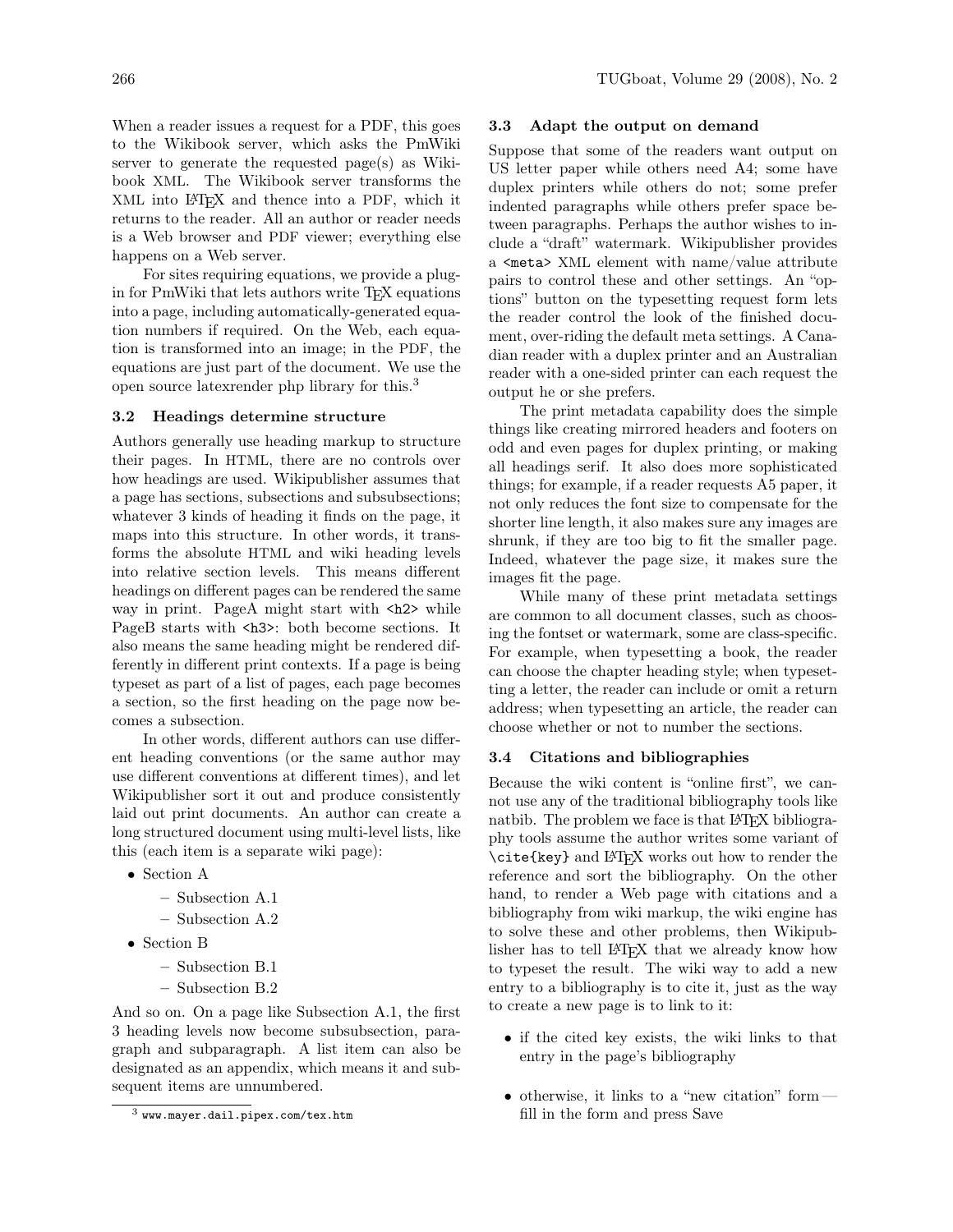When a reader issues a request for a PDF, this goes to the Wikibook server, which asks the PmWiki server to generate the requested page(s) as Wikibook XML. The Wikibook server transforms the XML into LATEX and thence into a PDF, which it returns to the reader. All an author or reader needs is a Web browser and PDF viewer; everything else happens on a Web server.

For sites requiring equations, we provide a plugin for PmWiki that lets authors write TFX equations into a page, including automatically-generated equation numbers if required. On the Web, each equation is transformed into an image; in the PDF, the equations are just part of the document. We use the open source latexrender php library for this.<sup>3</sup>

#### 3.2 Headings determine structure

Authors generally use heading markup to structure their pages. In HTML, there are no controls over how headings are used. Wikipublisher assumes that a page has sections, subsections and subsubsections; whatever 3 kinds of heading it finds on the page, it maps into this structure. In other words, it transforms the absolute HTML and wiki heading levels into relative section levels. This means different headings on different pages can be rendered the same way in print. PageA might start with <h2> while PageB starts with  $\langle h3 \rangle$ : both become sections. It also means the same heading might be rendered differently in different print contexts. If a page is being typeset as part of a list of pages, each page becomes a section, so the first heading on the page now becomes a subsection.

In other words, different authors can use different heading conventions (or the same author may use different conventions at different times), and let Wikipublisher sort it out and produce consistently laid out print documents. An author can create a long structured document using multi-level lists, like this (each item is a separate wiki page):

- Section A
	- Subsection A.1
	- Subsection A.2
- Section B
	- Subsection B.1
	- Subsection B.2

And so on. On a page like Subsection A.1, the first 3 heading levels now become subsubsection, paragraph and subparagraph. A list item can also be designated as an appendix, which means it and subsequent items are unnumbered.

#### 3.3 Adapt the output on demand

Suppose that some of the readers want output on US letter paper while others need A4; some have duplex printers while others do not; some prefer indented paragraphs while others prefer space between paragraphs. Perhaps the author wishes to include a "draft" watermark. Wikipublisher provides a <meta> XML element with name/value attribute pairs to control these and other settings. An "options" button on the typesetting request form lets the reader control the look of the finished document, over-riding the default meta settings. A Canadian reader with a duplex printer and an Australian reader with a one-sided printer can each request the output he or she prefers.

The print metadata capability does the simple things like creating mirrored headers and footers on odd and even pages for duplex printing, or making all headings serif. It also does more sophisticated things; for example, if a reader requests A5 paper, it not only reduces the font size to compensate for the shorter line length, it also makes sure any images are shrunk, if they are too big to fit the smaller page. Indeed, whatever the page size, it makes sure the images fit the page.

While many of these print metadata settings are common to all document classes, such as choosing the fontset or watermark, some are class-specific. For example, when typesetting a book, the reader can choose the chapter heading style; when typesetting a letter, the reader can include or omit a return address; when typesetting an article, the reader can choose whether or not to number the sections.

#### 3.4 Citations and bibliographies

Because the wiki content is "online first", we cannot use any of the traditional bibliography tools like natbib. The problem we face is that LAT<sub>EX</sub> bibliography tools assume the author writes some variant of \cite{key} and LATEX works out how to render the reference and sort the bibliography. On the other hand, to render a Web page with citations and a bibliography from wiki markup, the wiki engine has to solve these and other problems, then Wikipublisher has to tell LATEX that we already know how to typeset the result. The wiki way to add a new entry to a bibliography is to cite it, just as the way to create a new page is to link to it:

- if the cited key exists, the wiki links to that entry in the page's bibliography
- otherwise, it links to a "new citation" form fill in the form and press Save

<sup>3</sup> www.mayer.dail.pipex.com/tex.htm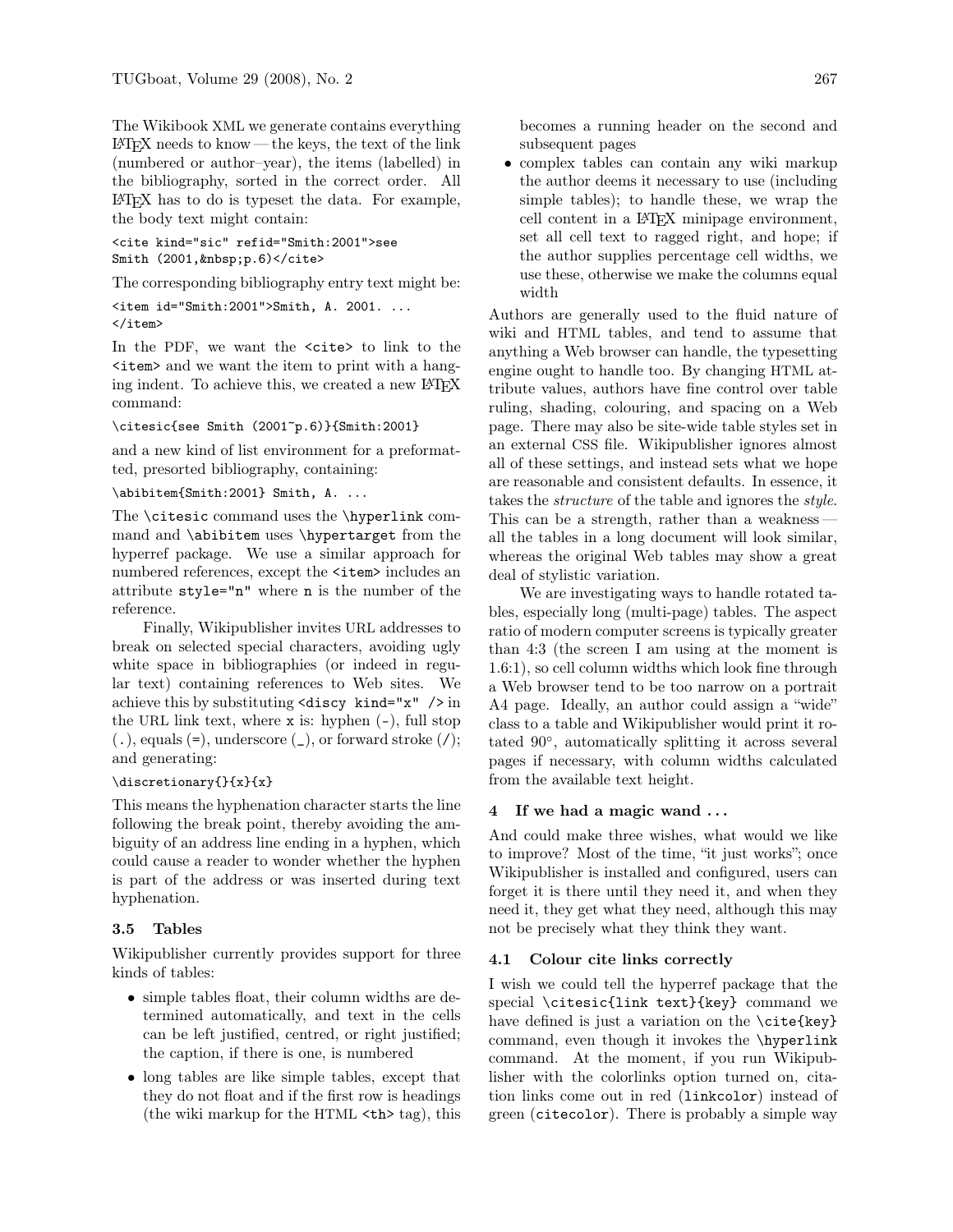The Wikibook XML we generate contains everything  $LAT$ <sub>EX</sub> needs to know — the keys, the text of the link (numbered or author–year), the items (labelled) in the bibliography, sorted in the correct order. All LATEX has to do is typeset the data. For example, the body text might contain:

```
<cite kind="sic" refid="Smith:2001">see
Smith (2001, \text{knbsp}; p.6) </cite>
```
The corresponding bibliography entry text might be:

```
\leqitem id="Smith:2001">Smith, A. 2001. ...
\langleitem>
```
In the PDF, we want the  $\langle$ cite $\rangle$  to link to the <item> and we want the item to print with a hanging indent. To achieve this, we created a new LATEX command:

\citesic{see Smith (2001~p.6)}{Smith:2001}

and a new kind of list environment for a preformatted, presorted bibliography, containing:

#### \abibitem{Smith:2001} Smith, A. ...

The \citesic command uses the \hyperlink command and \abibitem uses \hypertarget from the hyperref package. We use a similar approach for numbered references, except the <item> includes an attribute style="n" where n is the number of the reference.

Finally, Wikipublisher invites URL addresses to break on selected special characters, avoiding ugly white space in bibliographies (or indeed in regular text) containing references to Web sites. We achieve this by substituting  $\langle \text{discy } \kappa \rangle = \mathbb{I} \times \mathbb{I}$  /> in the URL link text, where  $x$  is: hyphen  $(-)$ , full stop  $($ .), equals  $(=)$ , underscore  $($ ), or forward stroke  $($  $/$ ); and generating:

#### \discretionary{}{x}{x}

This means the hyphenation character starts the line following the break point, thereby avoiding the ambiguity of an address line ending in a hyphen, which could cause a reader to wonder whether the hyphen is part of the address or was inserted during text hyphenation.

#### 3.5 Tables

Wikipublisher currently provides support for three kinds of tables:

- simple tables float, their column widths are determined automatically, and text in the cells can be left justified, centred, or right justified; the caption, if there is one, is numbered
- long tables are like simple tables, except that they do not float and if the first row is headings (the wiki markup for the HTML <th> tag), this

becomes a running header on the second and subsequent pages

• complex tables can contain any wiki markup the author deems it necessary to use (including simple tables); to handle these, we wrap the cell content in a LATEX minipage environment, set all cell text to ragged right, and hope; if the author supplies percentage cell widths, we use these, otherwise we make the columns equal width

Authors are generally used to the fluid nature of wiki and HTML tables, and tend to assume that anything a Web browser can handle, the typesetting engine ought to handle too. By changing HTML attribute values, authors have fine control over table ruling, shading, colouring, and spacing on a Web page. There may also be site-wide table styles set in an external CSS file. Wikipublisher ignores almost all of these settings, and instead sets what we hope are reasonable and consistent defaults. In essence, it takes the structure of the table and ignores the style. This can be a strength, rather than a weakness all the tables in a long document will look similar, whereas the original Web tables may show a great deal of stylistic variation.

We are investigating ways to handle rotated tables, especially long (multi-page) tables. The aspect ratio of modern computer screens is typically greater than 4:3 (the screen I am using at the moment is 1.6:1), so cell column widths which look fine through a Web browser tend to be too narrow on a portrait A4 page. Ideally, an author could assign a "wide" class to a table and Wikipublisher would print it rotated 90◦ , automatically splitting it across several pages if necessary, with column widths calculated from the available text height.

## 4 If we had a magic wand . . .

And could make three wishes, what would we like to improve? Most of the time, "it just works"; once Wikipublisher is installed and configured, users can forget it is there until they need it, and when they need it, they get what they need, although this may not be precisely what they think they want.

## 4.1 Colour cite links correctly

I wish we could tell the hyperref package that the special \citesic{link text}{key} command we have defined is just a variation on the  $\c{key}$ command, even though it invokes the \hyperlink command. At the moment, if you run Wikipublisher with the colorlinks option turned on, citation links come out in red (linkcolor) instead of green (citecolor). There is probably a simple way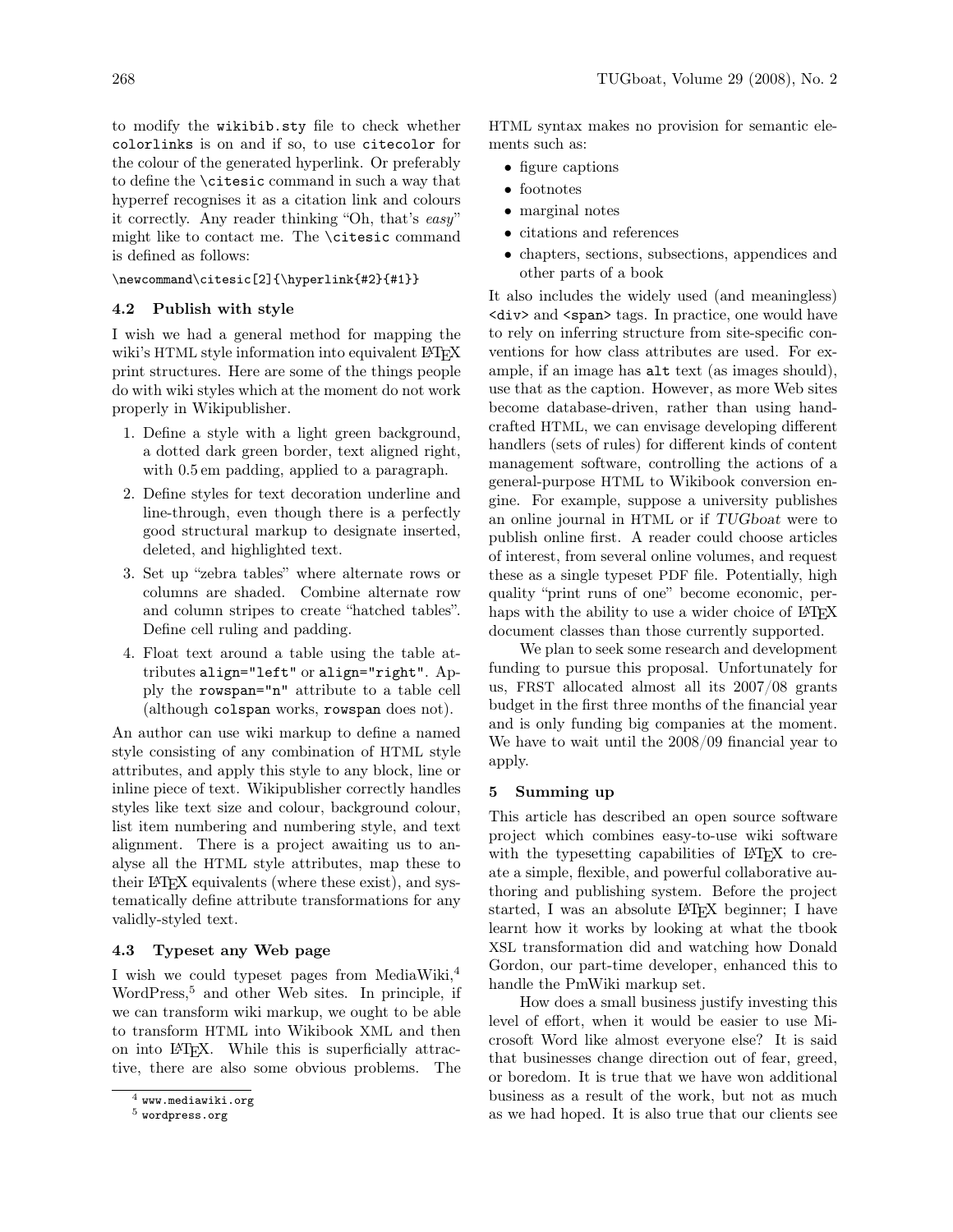to modify the wikibib.sty file to check whether colorlinks is on and if so, to use citecolor for the colour of the generated hyperlink. Or preferably to define the \citesic command in such a way that hyperref recognises it as a citation link and colours it correctly. Any reader thinking "Oh, that's easy" might like to contact me. The \citesic command is defined as follows:

\newcommand\citesic[2]{\hyperlink{#2}{#1}}

## 4.2 Publish with style

I wish we had a general method for mapping the wiki's HTML style information into equivalent LATEX print structures. Here are some of the things people do with wiki styles which at the moment do not work properly in Wikipublisher.

- 1. Define a style with a light green background, a dotted dark green border, text aligned right, with 0.5 em padding, applied to a paragraph.
- 2. Define styles for text decoration underline and line-through, even though there is a perfectly good structural markup to designate inserted, deleted, and highlighted text.
- 3. Set up "zebra tables" where alternate rows or columns are shaded. Combine alternate row and column stripes to create "hatched tables". Define cell ruling and padding.
- 4. Float text around a table using the table attributes align="left" or align="right". Apply the rowspan="n" attribute to a table cell (although colspan works, rowspan does not).

An author can use wiki markup to define a named style consisting of any combination of HTML style attributes, and apply this style to any block, line or inline piece of text. Wikipublisher correctly handles styles like text size and colour, background colour, list item numbering and numbering style, and text alignment. There is a project awaiting us to analyse all the HTML style attributes, map these to their LATEX equivalents (where these exist), and systematically define attribute transformations for any validly-styled text.

## 4.3 Typeset any Web page

I wish we could typeset pages from MediaWiki,<sup>4</sup> WordPress,<sup>5</sup> and other Web sites. In principle, if we can transform wiki markup, we ought to be able to transform HTML into Wikibook XML and then on into LATEX. While this is superficially attractive, there are also some obvious problems. The HTML syntax makes no provision for semantic elements such as:

- figure captions
- footnotes
- marginal notes
- citations and references
- chapters, sections, subsections, appendices and other parts of a book

It also includes the widely used (and meaningless) <div> and <span> tags. In practice, one would have to rely on inferring structure from site-specific conventions for how class attributes are used. For example, if an image has alt text (as images should), use that as the caption. However, as more Web sites become database-driven, rather than using handcrafted HTML, we can envisage developing different handlers (sets of rules) for different kinds of content management software, controlling the actions of a general-purpose HTML to Wikibook conversion engine. For example, suppose a university publishes an online journal in HTML or if TUGboat were to publish online first. A reader could choose articles of interest, from several online volumes, and request these as a single typeset PDF file. Potentially, high quality "print runs of one" become economic, perhaps with the ability to use a wider choice of LAT<sub>EX</sub> document classes than those currently supported.

We plan to seek some research and development funding to pursue this proposal. Unfortunately for us, FRST allocated almost all its 2007/08 grants budget in the first three months of the financial year and is only funding big companies at the moment. We have to wait until the 2008/09 financial year to apply.

# 5 Summing up

This article has described an open source software project which combines easy-to-use wiki software with the typesetting capabilities of LAT<sub>EX</sub> to create a simple, flexible, and powerful collaborative authoring and publishing system. Before the project started, I was an absolute LAT<sub>F</sub>X beginner; I have learnt how it works by looking at what the tbook XSL transformation did and watching how Donald Gordon, our part-time developer, enhanced this to handle the PmWiki markup set.

How does a small business justify investing this level of effort, when it would be easier to use Microsoft Word like almost everyone else? It is said that businesses change direction out of fear, greed, or boredom. It is true that we have won additional business as a result of the work, but not as much as we had hoped. It is also true that our clients see

 $<sup>4</sup>$  www.mediawiki.org</sup>

 $^5$  wordpress.org